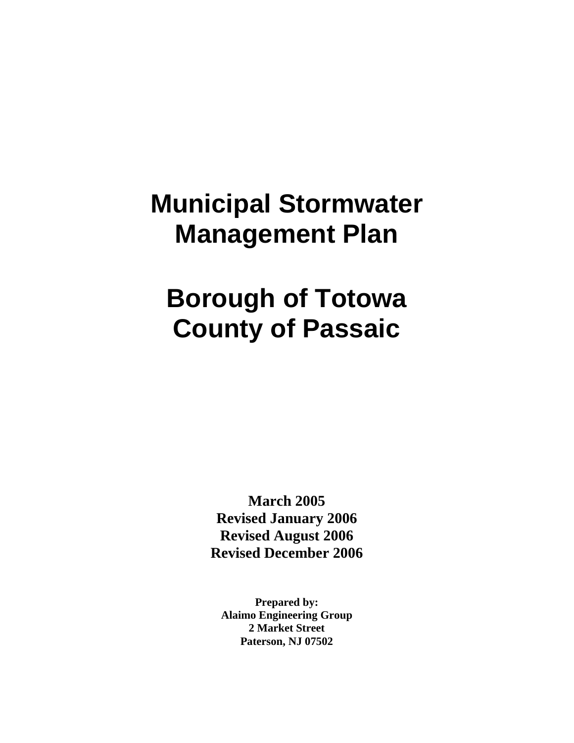# **Municipal Stormwater Management Plan**

# **Borough of Totowa County of Passaic**

**March 2005 Revised January 2006 Revised August 2006 Revised December 2006**

**Prepared by: Alaimo Engineering Group 2 Market Street Paterson, NJ 07502**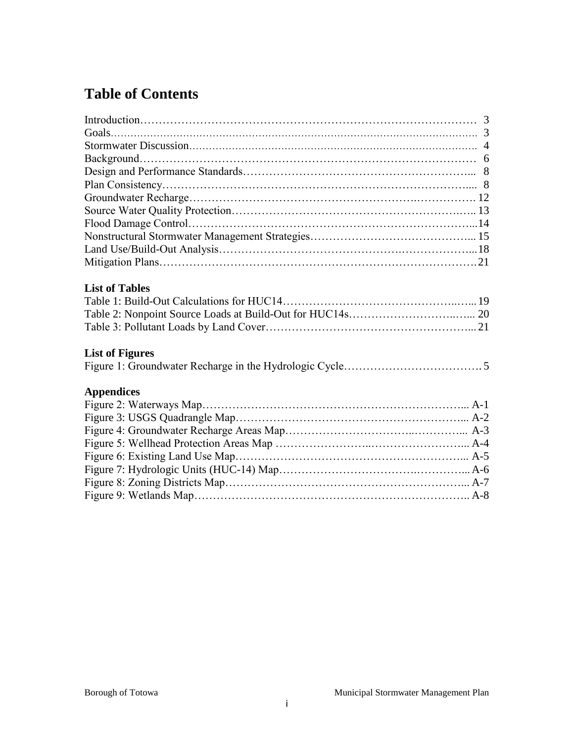# **Table of Contents**

| <b>List of Tables</b>  |  |
|------------------------|--|
|                        |  |
|                        |  |
|                        |  |
|                        |  |
| <b>List of Figures</b> |  |
|                        |  |
|                        |  |
| <b>Appendices</b>      |  |
|                        |  |
|                        |  |
|                        |  |
|                        |  |
|                        |  |
|                        |  |
|                        |  |
|                        |  |
|                        |  |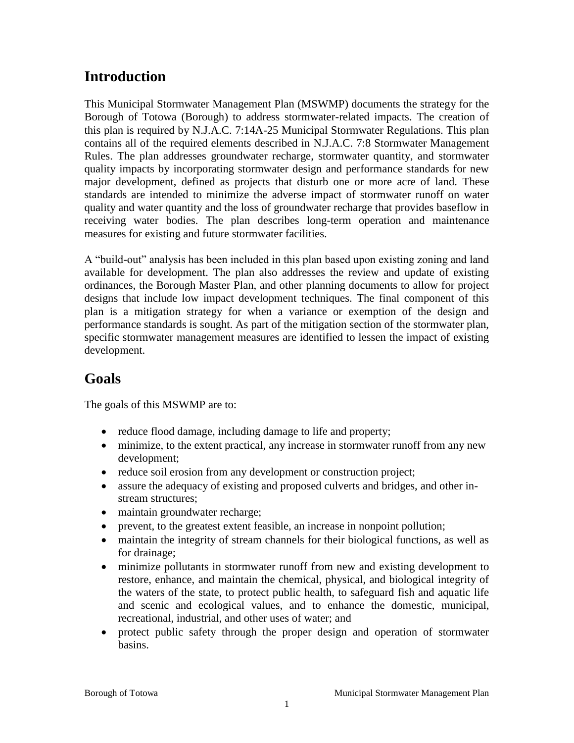## **Introduction**

This Municipal Stormwater Management Plan (MSWMP) documents the strategy for the Borough of Totowa (Borough) to address stormwater-related impacts. The creation of this plan is required by N.J.A.C. 7:14A-25 Municipal Stormwater Regulations. This plan contains all of the required elements described in N.J.A.C. 7:8 Stormwater Management Rules. The plan addresses groundwater recharge, stormwater quantity, and stormwater quality impacts by incorporating stormwater design and performance standards for new major development, defined as projects that disturb one or more acre of land. These standards are intended to minimize the adverse impact of stormwater runoff on water quality and water quantity and the loss of groundwater recharge that provides baseflow in receiving water bodies. The plan describes long-term operation and maintenance measures for existing and future stormwater facilities.

A "build-out" analysis has been included in this plan based upon existing zoning and land available for development. The plan also addresses the review and update of existing ordinances, the Borough Master Plan, and other planning documents to allow for project designs that include low impact development techniques. The final component of this plan is a mitigation strategy for when a variance or exemption of the design and performance standards is sought. As part of the mitigation section of the stormwater plan, specific stormwater management measures are identified to lessen the impact of existing development.

### **Goals**

The goals of this MSWMP are to:

- reduce flood damage, including damage to life and property;
- minimize, to the extent practical, any increase in stormwater runoff from any new development;
- reduce soil erosion from any development or construction project;
- assure the adequacy of existing and proposed culverts and bridges, and other instream structures;
- maintain groundwater recharge;
- prevent, to the greatest extent feasible, an increase in nonpoint pollution;
- maintain the integrity of stream channels for their biological functions, as well as for drainage;
- minimize pollutants in stormwater runoff from new and existing development to restore, enhance, and maintain the chemical, physical, and biological integrity of the waters of the state, to protect public health, to safeguard fish and aquatic life and scenic and ecological values, and to enhance the domestic, municipal, recreational, industrial, and other uses of water; and
- protect public safety through the proper design and operation of stormwater basins.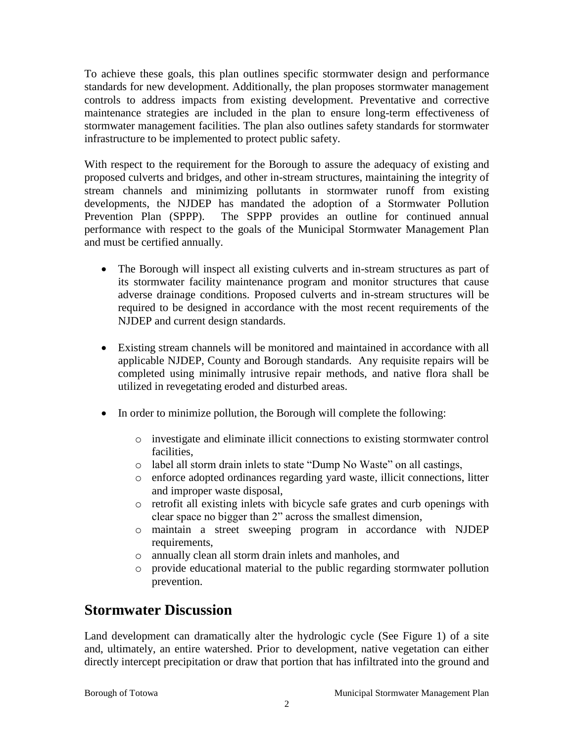To achieve these goals, this plan outlines specific stormwater design and performance standards for new development. Additionally, the plan proposes stormwater management controls to address impacts from existing development. Preventative and corrective maintenance strategies are included in the plan to ensure long-term effectiveness of stormwater management facilities. The plan also outlines safety standards for stormwater infrastructure to be implemented to protect public safety.

With respect to the requirement for the Borough to assure the adequacy of existing and proposed culverts and bridges, and other in-stream structures, maintaining the integrity of stream channels and minimizing pollutants in stormwater runoff from existing developments, the NJDEP has mandated the adoption of a Stormwater Pollution Prevention Plan (SPPP). The SPPP provides an outline for continued annual performance with respect to the goals of the Municipal Stormwater Management Plan and must be certified annually.

- The Borough will inspect all existing culverts and in-stream structures as part of its stormwater facility maintenance program and monitor structures that cause adverse drainage conditions. Proposed culverts and in-stream structures will be required to be designed in accordance with the most recent requirements of the NJDEP and current design standards.
- Existing stream channels will be monitored and maintained in accordance with all applicable NJDEP, County and Borough standards. Any requisite repairs will be completed using minimally intrusive repair methods, and native flora shall be utilized in revegetating eroded and disturbed areas.
- In order to minimize pollution, the Borough will complete the following:
	- o investigate and eliminate illicit connections to existing stormwater control facilities,
	- o label all storm drain inlets to state "Dump No Waste" on all castings,
	- o enforce adopted ordinances regarding yard waste, illicit connections, litter and improper waste disposal,
	- o retrofit all existing inlets with bicycle safe grates and curb openings with clear space no bigger than 2" across the smallest dimension,
	- o maintain a street sweeping program in accordance with NJDEP requirements,
	- o annually clean all storm drain inlets and manholes, and
	- o provide educational material to the public regarding stormwater pollution prevention.

### **Stormwater Discussion**

Land development can dramatically alter the hydrologic cycle (See Figure 1) of a site and, ultimately, an entire watershed. Prior to development, native vegetation can either directly intercept precipitation or draw that portion that has infiltrated into the ground and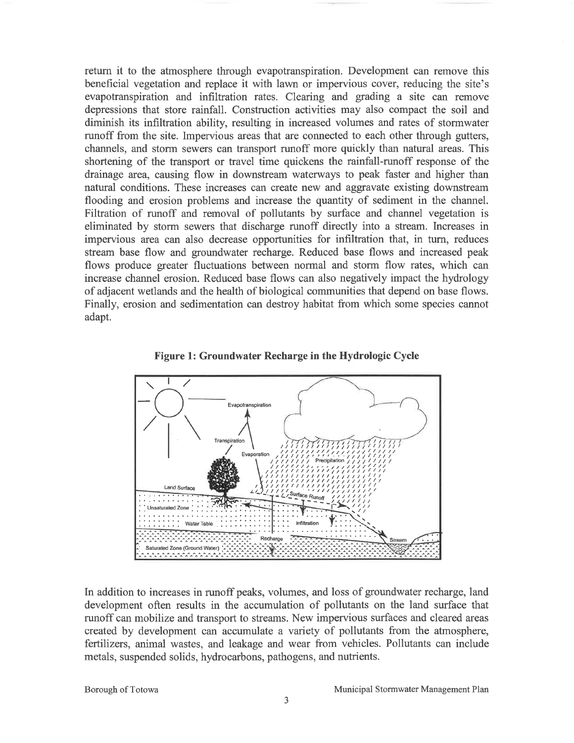return it to the atmosphere through evapotranspiration. Development can remove this beneficial vegetation and replace it with lawn or impervious cover, reducing the site's evapotranspiration and infiltration rates. Clearing and grading a site can remove depressions that store rainfall. Construction activities may also compact the soil and diminish its infiltration ability, resulting in increased volumes and rates of stormwater runoff from the site. Impervious areas that are connected to each other through gutters, channels, and storm sewers can transport runoff more quickly than natural areas. This shortening of the transport or travel time quickens the rainfall-runoff response of the drainage area, causing flow in downstream waterways to peak faster and higher than natural conditions. These increases can create new and aggravate existing downstream flooding and erosion problems and increase the quantity of sediment in the channel. Filtration of runoff and removal of pollutants by surface and channel vegetation is eliminated by storm sewers that discharge runoff directly into a stream. Increases in impervious area can also decrease opportunities for infiltration that, in turn, reduces stream base flow and groundwater recharge. Reduced base flows and increased peak flows produce greater fluctuations between normal and storm flow rates, which can increase channel erosion. Reduced base flows can also negatively impact the hydrology of adjacent wetlands and the health of biological communities that depend on base flows. Finally, erosion and sedimentation can destroy habitat from which some species cannot adapt.





In addition to increases in runoff peaks, volumes, and loss of groundwater recharge, land development often results in the accumulation of pollutants on the land surface that runoff can mobilize and transport to streams. New impervious surfaces and cleared areas created by development can accumulate a variety of pollutants from the atmosphere, fertilizers, animal wastes, and leakage and wear from vehicles. Pollutants can include metals, suspended solids, hydrocarbons, pathogens, and nutrients.

Borough of Totowa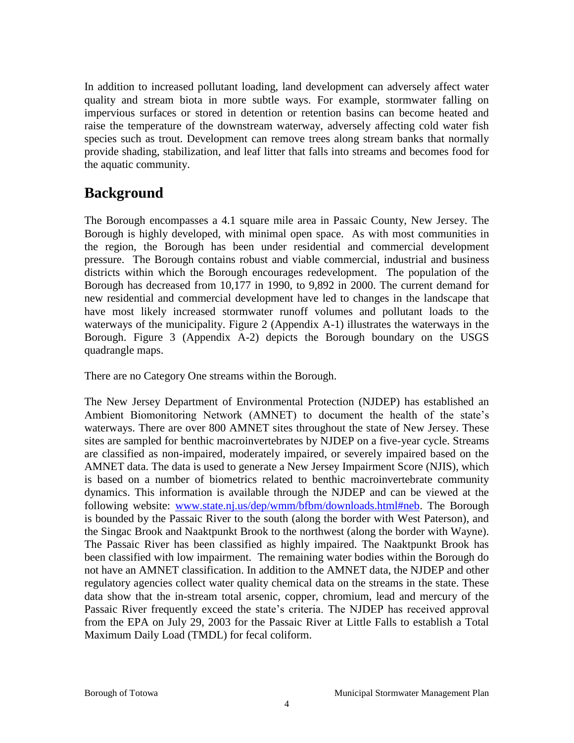In addition to increased pollutant loading, land development can adversely affect water quality and stream biota in more subtle ways. For example, stormwater falling on impervious surfaces or stored in detention or retention basins can become heated and raise the temperature of the downstream waterway, adversely affecting cold water fish species such as trout. Development can remove trees along stream banks that normally provide shading, stabilization, and leaf litter that falls into streams and becomes food for the aquatic community.

### **Background**

The Borough encompasses a 4.1 square mile area in Passaic County, New Jersey. The Borough is highly developed, with minimal open space. As with most communities in the region, the Borough has been under residential and commercial development pressure. The Borough contains robust and viable commercial, industrial and business districts within which the Borough encourages redevelopment. The population of the Borough has decreased from 10,177 in 1990, to 9,892 in 2000. The current demand for new residential and commercial development have led to changes in the landscape that have most likely increased stormwater runoff volumes and pollutant loads to the waterways of the municipality. Figure 2 (Appendix A-1) illustrates the waterways in the Borough. Figure 3 (Appendix A-2) depicts the Borough boundary on the USGS quadrangle maps.

There are no Category One streams within the Borough.

The New Jersey Department of Environmental Protection (NJDEP) has established an Ambient Biomonitoring Network (AMNET) to document the health of the state's waterways. There are over 800 AMNET sites throughout the state of New Jersey. These sites are sampled for benthic macroinvertebrates by NJDEP on a five-year cycle. Streams are classified as non-impaired, moderately impaired, or severely impaired based on the AMNET data. The data is used to generate a New Jersey Impairment Score (NJIS), which is based on a number of biometrics related to benthic macroinvertebrate community dynamics. This information is available through the NJDEP and can be viewed at the following website: [www.state.nj.us/dep/wmm/bfbm/downloads.html#neb.](http://www.state.nj.us/dep/wmm/bfbm/downloads.html#neb) The Borough is bounded by the Passaic River to the south (along the border with West Paterson), and the Singac Brook and Naaktpunkt Brook to the northwest (along the border with Wayne). The Passaic River has been classified as highly impaired. The Naaktpunkt Brook has been classified with low impairment. The remaining water bodies within the Borough do not have an AMNET classification. In addition to the AMNET data, the NJDEP and other regulatory agencies collect water quality chemical data on the streams in the state. These data show that the in-stream total arsenic, copper, chromium, lead and mercury of the Passaic River frequently exceed the state's criteria. The NJDEP has received approval from the EPA on July 29, 2003 for the Passaic River at Little Falls to establish a Total Maximum Daily Load (TMDL) for fecal coliform.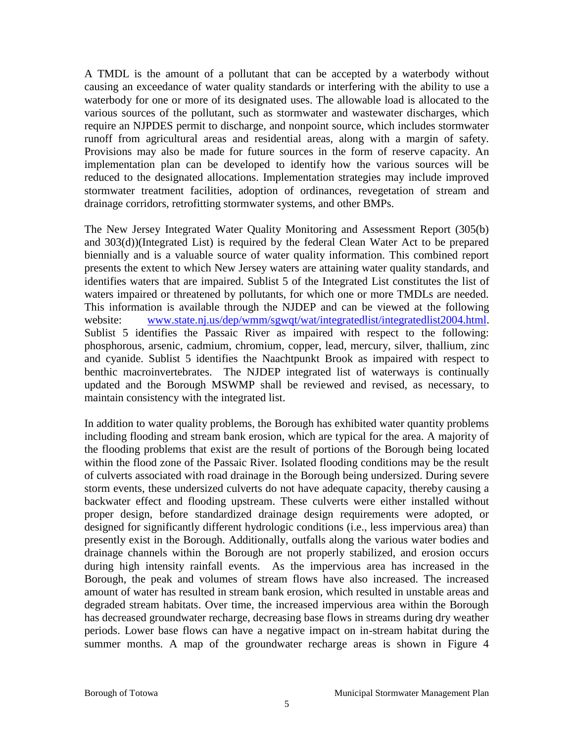A TMDL is the amount of a pollutant that can be accepted by a waterbody without causing an exceedance of water quality standards or interfering with the ability to use a waterbody for one or more of its designated uses. The allowable load is allocated to the various sources of the pollutant, such as stormwater and wastewater discharges, which require an NJPDES permit to discharge, and nonpoint source, which includes stormwater runoff from agricultural areas and residential areas, along with a margin of safety. Provisions may also be made for future sources in the form of reserve capacity. An implementation plan can be developed to identify how the various sources will be reduced to the designated allocations. Implementation strategies may include improved stormwater treatment facilities, adoption of ordinances, revegetation of stream and drainage corridors, retrofitting stormwater systems, and other BMPs.

The New Jersey Integrated Water Quality Monitoring and Assessment Report (305(b) and 303(d))(Integrated List) is required by the federal Clean Water Act to be prepared biennially and is a valuable source of water quality information. This combined report presents the extent to which New Jersey waters are attaining water quality standards, and identifies waters that are impaired. Sublist 5 of the Integrated List constitutes the list of waters impaired or threatened by pollutants, for which one or more TMDLs are needed. This information is available through the NJDEP and can be viewed at the following website: [www.state.nj.us/dep/wmm/sgwqt/wat/integratedlist/integratedlist2004.html.](http://www.state.nj.us/dep/wmm/sgwqt/wat/integratedlist/integratedlist2004.html) Sublist 5 identifies the Passaic River as impaired with respect to the following: phosphorous, arsenic, cadmium, chromium, copper, lead, mercury, silver, thallium, zinc and cyanide. Sublist 5 identifies the Naachtpunkt Brook as impaired with respect to benthic macroinvertebrates. The NJDEP integrated list of waterways is continually updated and the Borough MSWMP shall be reviewed and revised, as necessary, to maintain consistency with the integrated list.

In addition to water quality problems, the Borough has exhibited water quantity problems including flooding and stream bank erosion, which are typical for the area. A majority of the flooding problems that exist are the result of portions of the Borough being located within the flood zone of the Passaic River. Isolated flooding conditions may be the result of culverts associated with road drainage in the Borough being undersized. During severe storm events, these undersized culverts do not have adequate capacity, thereby causing a backwater effect and flooding upstream. These culverts were either installed without proper design, before standardized drainage design requirements were adopted, or designed for significantly different hydrologic conditions (i.e., less impervious area) than presently exist in the Borough. Additionally, outfalls along the various water bodies and drainage channels within the Borough are not properly stabilized, and erosion occurs during high intensity rainfall events. As the impervious area has increased in the Borough, the peak and volumes of stream flows have also increased. The increased amount of water has resulted in stream bank erosion, which resulted in unstable areas and degraded stream habitats. Over time, the increased impervious area within the Borough has decreased groundwater recharge, decreasing base flows in streams during dry weather periods. Lower base flows can have a negative impact on in-stream habitat during the summer months. A map of the groundwater recharge areas is shown in Figure 4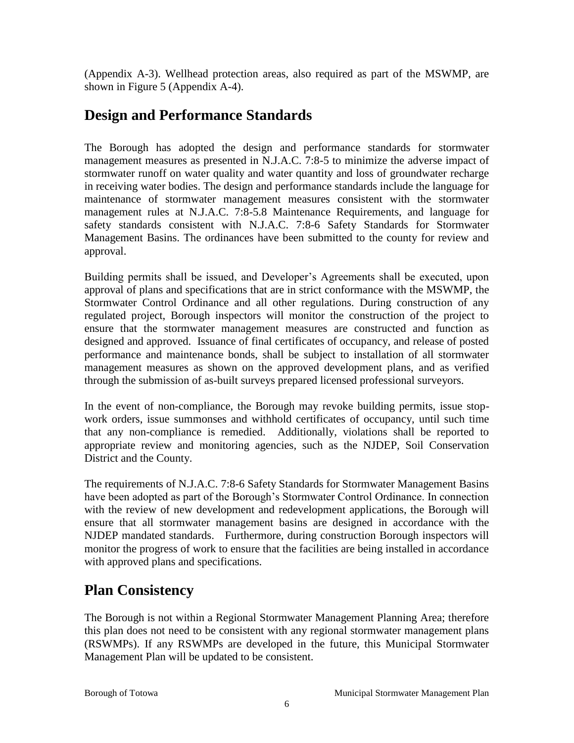(Appendix A-3). Wellhead protection areas, also required as part of the MSWMP, are shown in Figure 5 (Appendix A-4).

## **Design and Performance Standards**

The Borough has adopted the design and performance standards for stormwater management measures as presented in N.J.A.C. 7:8-5 to minimize the adverse impact of stormwater runoff on water quality and water quantity and loss of groundwater recharge in receiving water bodies. The design and performance standards include the language for maintenance of stormwater management measures consistent with the stormwater management rules at N.J.A.C. 7:8-5.8 Maintenance Requirements, and language for safety standards consistent with N.J.A.C. 7:8-6 Safety Standards for Stormwater Management Basins. The ordinances have been submitted to the county for review and approval.

Building permits shall be issued, and Developer's Agreements shall be executed, upon approval of plans and specifications that are in strict conformance with the MSWMP, the Stormwater Control Ordinance and all other regulations. During construction of any regulated project, Borough inspectors will monitor the construction of the project to ensure that the stormwater management measures are constructed and function as designed and approved. Issuance of final certificates of occupancy, and release of posted performance and maintenance bonds, shall be subject to installation of all stormwater management measures as shown on the approved development plans, and as verified through the submission of as-built surveys prepared licensed professional surveyors.

In the event of non-compliance, the Borough may revoke building permits, issue stopwork orders, issue summonses and withhold certificates of occupancy, until such time that any non-compliance is remedied. Additionally, violations shall be reported to appropriate review and monitoring agencies, such as the NJDEP, Soil Conservation District and the County.

The requirements of N.J.A.C. 7:8-6 Safety Standards for Stormwater Management Basins have been adopted as part of the Borough's Stormwater Control Ordinance. In connection with the review of new development and redevelopment applications, the Borough will ensure that all stormwater management basins are designed in accordance with the NJDEP mandated standards. Furthermore, during construction Borough inspectors will monitor the progress of work to ensure that the facilities are being installed in accordance with approved plans and specifications.

### **Plan Consistency**

The Borough is not within a Regional Stormwater Management Planning Area; therefore this plan does not need to be consistent with any regional stormwater management plans (RSWMPs). If any RSWMPs are developed in the future, this Municipal Stormwater Management Plan will be updated to be consistent.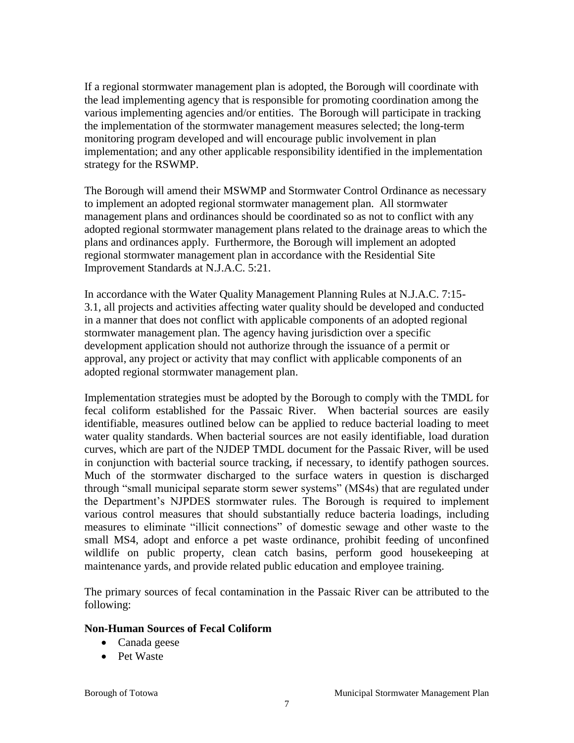If a regional stormwater management plan is adopted, the Borough will coordinate with the lead implementing agency that is responsible for promoting coordination among the various implementing agencies and/or entities. The Borough will participate in tracking the implementation of the stormwater management measures selected; the long-term monitoring program developed and will encourage public involvement in plan implementation; and any other applicable responsibility identified in the implementation strategy for the RSWMP.

The Borough will amend their MSWMP and Stormwater Control Ordinance as necessary to implement an adopted regional stormwater management plan. All stormwater management plans and ordinances should be coordinated so as not to conflict with any adopted regional stormwater management plans related to the drainage areas to which the plans and ordinances apply. Furthermore, the Borough will implement an adopted regional stormwater management plan in accordance with the Residential Site Improvement Standards at N.J.A.C. 5:21.

In accordance with the Water Quality Management Planning Rules at N.J.A.C. 7:15- 3.1, all projects and activities affecting water quality should be developed and conducted in a manner that does not conflict with applicable components of an adopted regional stormwater management plan. The agency having jurisdiction over a specific development application should not authorize through the issuance of a permit or approval, any project or activity that may conflict with applicable components of an adopted regional stormwater management plan.

Implementation strategies must be adopted by the Borough to comply with the TMDL for fecal coliform established for the Passaic River. When bacterial sources are easily identifiable, measures outlined below can be applied to reduce bacterial loading to meet water quality standards. When bacterial sources are not easily identifiable, load duration curves, which are part of the NJDEP TMDL document for the Passaic River, will be used in conjunction with bacterial source tracking, if necessary, to identify pathogen sources. Much of the stormwater discharged to the surface waters in question is discharged through "small municipal separate storm sewer systems" (MS4s) that are regulated under the Department's NJPDES stormwater rules. The Borough is required to implement various control measures that should substantially reduce bacteria loadings, including measures to eliminate "illicit connections" of domestic sewage and other waste to the small MS4, adopt and enforce a pet waste ordinance, prohibit feeding of unconfined wildlife on public property, clean catch basins, perform good housekeeping at maintenance yards, and provide related public education and employee training.

The primary sources of fecal contamination in the Passaic River can be attributed to the following:

#### **Non-Human Sources of Fecal Coliform**

- Canada geese
- Pet Waste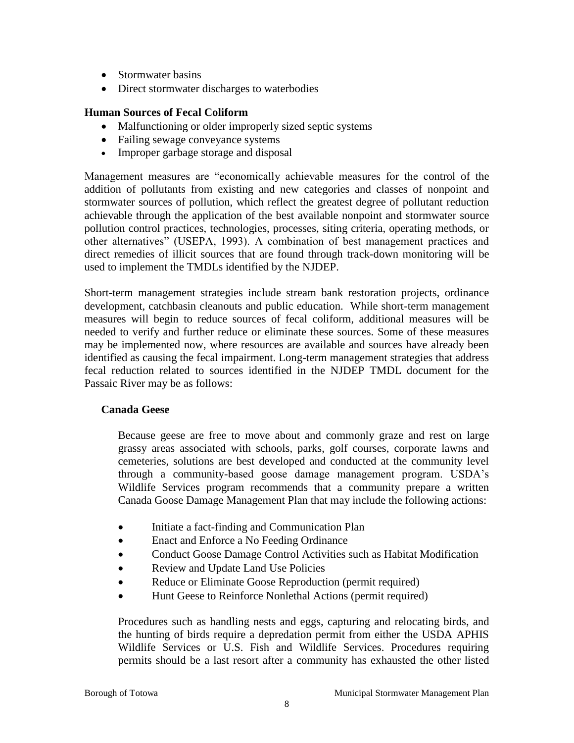- Stormwater basins
- Direct stormwater discharges to waterbodies

#### **Human Sources of Fecal Coliform**

- Malfunctioning or older improperly sized septic systems
- Failing sewage conveyance systems
- Improper garbage storage and disposal

Management measures are "economically achievable measures for the control of the addition of pollutants from existing and new categories and classes of nonpoint and stormwater sources of pollution, which reflect the greatest degree of pollutant reduction achievable through the application of the best available nonpoint and stormwater source pollution control practices, technologies, processes, siting criteria, operating methods, or other alternatives" (USEPA, 1993). A combination of best management practices and direct remedies of illicit sources that are found through track-down monitoring will be used to implement the TMDLs identified by the NJDEP.

Short-term management strategies include stream bank restoration projects, ordinance development, catchbasin cleanouts and public education. While short-term management measures will begin to reduce sources of fecal coliform, additional measures will be needed to verify and further reduce or eliminate these sources. Some of these measures may be implemented now, where resources are available and sources have already been identified as causing the fecal impairment. Long-term management strategies that address fecal reduction related to sources identified in the NJDEP TMDL document for the Passaic River may be as follows:

#### **Canada Geese**

Because geese are free to move about and commonly graze and rest on large grassy areas associated with schools, parks, golf courses, corporate lawns and cemeteries, solutions are best developed and conducted at the community level through a community-based goose damage management program. USDA's Wildlife Services program recommends that a community prepare a written Canada Goose Damage Management Plan that may include the following actions:

- Initiate a fact-finding and Communication Plan
- Enact and Enforce a No Feeding Ordinance
- Conduct Goose Damage Control Activities such as Habitat Modification
- Review and Update Land Use Policies
- Reduce or Eliminate Goose Reproduction (permit required)
- Hunt Geese to Reinforce Nonlethal Actions (permit required)

Procedures such as handling nests and eggs, capturing and relocating birds, and the hunting of birds require a depredation permit from either the USDA APHIS Wildlife Services or U.S. Fish and Wildlife Services. Procedures requiring permits should be a last resort after a community has exhausted the other listed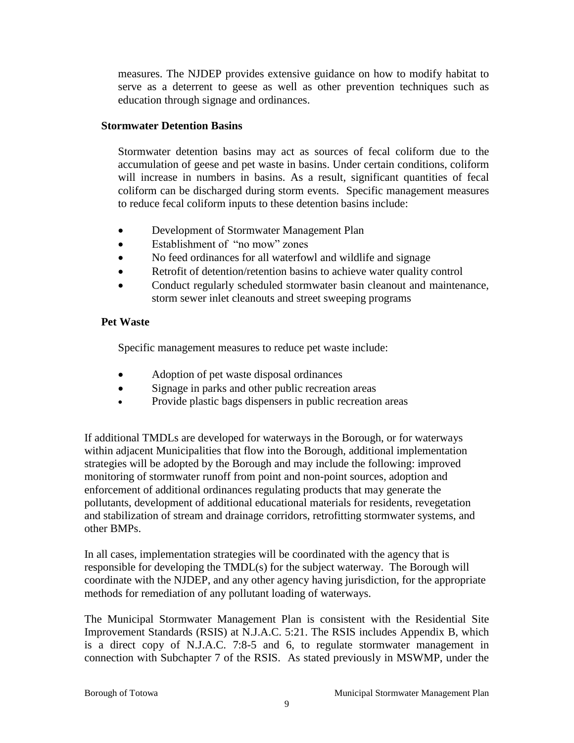measures. The NJDEP provides extensive guidance on how to modify habitat to serve as a deterrent to geese as well as other prevention techniques such as education through signage and ordinances.

#### **Stormwater Detention Basins**

Stormwater detention basins may act as sources of fecal coliform due to the accumulation of geese and pet waste in basins. Under certain conditions, coliform will increase in numbers in basins. As a result, significant quantities of fecal coliform can be discharged during storm events. Specific management measures to reduce fecal coliform inputs to these detention basins include:

- Development of Stormwater Management Plan
- Establishment of "no mow" zones
- No feed ordinances for all waterfowl and wildlife and signage
- Retrofit of detention/retention basins to achieve water quality control
- Conduct regularly scheduled stormwater basin cleanout and maintenance, storm sewer inlet cleanouts and street sweeping programs

### **Pet Waste**

Specific management measures to reduce pet waste include:

- Adoption of pet waste disposal ordinances
- Signage in parks and other public recreation areas
- Provide plastic bags dispensers in public recreation areas

If additional TMDLs are developed for waterways in the Borough, or for waterways within adjacent Municipalities that flow into the Borough, additional implementation strategies will be adopted by the Borough and may include the following: improved monitoring of stormwater runoff from point and non-point sources, adoption and enforcement of additional ordinances regulating products that may generate the pollutants, development of additional educational materials for residents, revegetation and stabilization of stream and drainage corridors, retrofitting stormwater systems, and other BMPs.

In all cases, implementation strategies will be coordinated with the agency that is responsible for developing the TMDL(s) for the subject waterway. The Borough will coordinate with the NJDEP, and any other agency having jurisdiction, for the appropriate methods for remediation of any pollutant loading of waterways.

The Municipal Stormwater Management Plan is consistent with the Residential Site Improvement Standards (RSIS) at N.J.A.C. 5:21. The RSIS includes Appendix B, which is a direct copy of N.J.A.C. 7:8-5 and 6, to regulate stormwater management in connection with Subchapter 7 of the RSIS. As stated previously in MSWMP, under the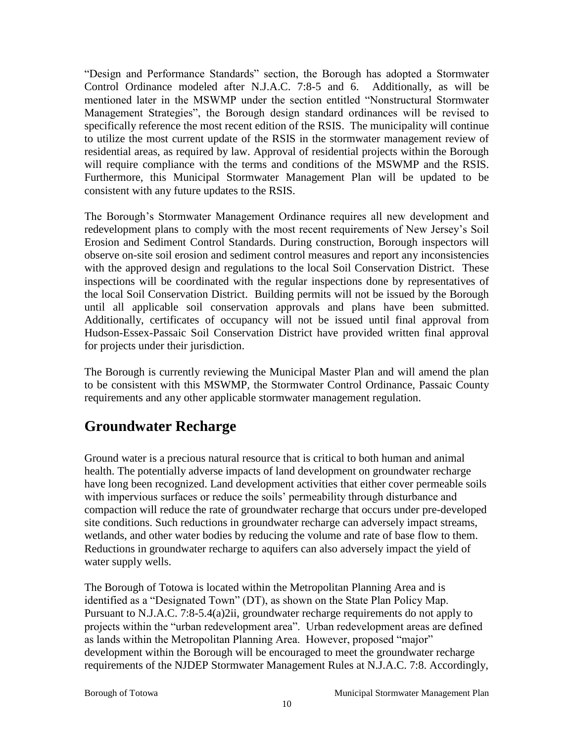"Design and Performance Standards" section, the Borough has adopted a Stormwater Control Ordinance modeled after N.J.A.C. 7:8-5 and 6. Additionally, as will be mentioned later in the MSWMP under the section entitled "Nonstructural Stormwater Management Strategies", the Borough design standard ordinances will be revised to specifically reference the most recent edition of the RSIS. The municipality will continue to utilize the most current update of the RSIS in the stormwater management review of residential areas, as required by law. Approval of residential projects within the Borough will require compliance with the terms and conditions of the MSWMP and the RSIS. Furthermore, this Municipal Stormwater Management Plan will be updated to be consistent with any future updates to the RSIS.

The Borough's Stormwater Management Ordinance requires all new development and redevelopment plans to comply with the most recent requirements of New Jersey's Soil Erosion and Sediment Control Standards. During construction, Borough inspectors will observe on-site soil erosion and sediment control measures and report any inconsistencies with the approved design and regulations to the local Soil Conservation District. These inspections will be coordinated with the regular inspections done by representatives of the local Soil Conservation District. Building permits will not be issued by the Borough until all applicable soil conservation approvals and plans have been submitted. Additionally, certificates of occupancy will not be issued until final approval from Hudson-Essex-Passaic Soil Conservation District have provided written final approval for projects under their jurisdiction.

The Borough is currently reviewing the Municipal Master Plan and will amend the plan to be consistent with this MSWMP, the Stormwater Control Ordinance, Passaic County requirements and any other applicable stormwater management regulation.

### **Groundwater Recharge**

Ground water is a precious natural resource that is critical to both human and animal health. The potentially adverse impacts of land development on groundwater recharge have long been recognized. Land development activities that either cover permeable soils with impervious surfaces or reduce the soils' permeability through disturbance and compaction will reduce the rate of groundwater recharge that occurs under pre-developed site conditions. Such reductions in groundwater recharge can adversely impact streams, wetlands, and other water bodies by reducing the volume and rate of base flow to them. Reductions in groundwater recharge to aquifers can also adversely impact the yield of water supply wells.

The Borough of Totowa is located within the Metropolitan Planning Area and is identified as a "Designated Town" (DT), as shown on the State Plan Policy Map. Pursuant to N.J.A.C. 7:8-5.4(a)2ii, groundwater recharge requirements do not apply to projects within the "urban redevelopment area". Urban redevelopment areas are defined as lands within the Metropolitan Planning Area. However, proposed "major" development within the Borough will be encouraged to meet the groundwater recharge requirements of the NJDEP Stormwater Management Rules at N.J.A.C. 7:8. Accordingly,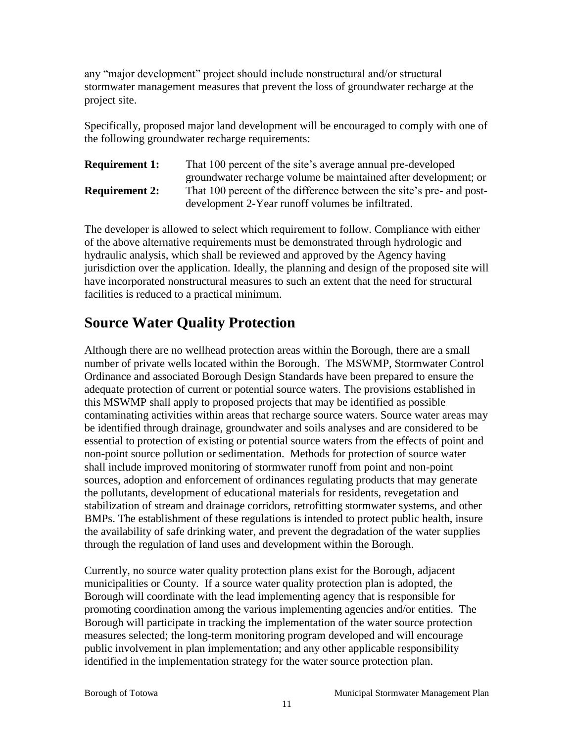any "major development" project should include nonstructural and/or structural stormwater management measures that prevent the loss of groundwater recharge at the project site.

Specifically, proposed major land development will be encouraged to comply with one of the following groundwater recharge requirements:

**Requirement 1:** That 100 percent of the site's average annual pre-developed groundwater recharge volume be maintained after development; or **Requirement 2:** That 100 percent of the difference between the site's pre- and postdevelopment 2-Year runoff volumes be infiltrated.

The developer is allowed to select which requirement to follow. Compliance with either of the above alternative requirements must be demonstrated through hydrologic and hydraulic analysis, which shall be reviewed and approved by the Agency having jurisdiction over the application. Ideally, the planning and design of the proposed site will have incorporated nonstructural measures to such an extent that the need for structural facilities is reduced to a practical minimum.

# **Source Water Quality Protection**

Although there are no wellhead protection areas within the Borough, there are a small number of private wells located within the Borough. The MSWMP, Stormwater Control Ordinance and associated Borough Design Standards have been prepared to ensure the adequate protection of current or potential source waters. The provisions established in this MSWMP shall apply to proposed projects that may be identified as possible contaminating activities within areas that recharge source waters. Source water areas may be identified through drainage, groundwater and soils analyses and are considered to be essential to protection of existing or potential source waters from the effects of point and non-point source pollution or sedimentation. Methods for protection of source water shall include improved monitoring of stormwater runoff from point and non-point sources, adoption and enforcement of ordinances regulating products that may generate the pollutants, development of educational materials for residents, revegetation and stabilization of stream and drainage corridors, retrofitting stormwater systems, and other BMPs. The establishment of these regulations is intended to protect public health, insure the availability of safe drinking water, and prevent the degradation of the water supplies through the regulation of land uses and development within the Borough.

Currently, no source water quality protection plans exist for the Borough, adjacent municipalities or County. If a source water quality protection plan is adopted, the Borough will coordinate with the lead implementing agency that is responsible for promoting coordination among the various implementing agencies and/or entities. The Borough will participate in tracking the implementation of the water source protection measures selected; the long-term monitoring program developed and will encourage public involvement in plan implementation; and any other applicable responsibility identified in the implementation strategy for the water source protection plan.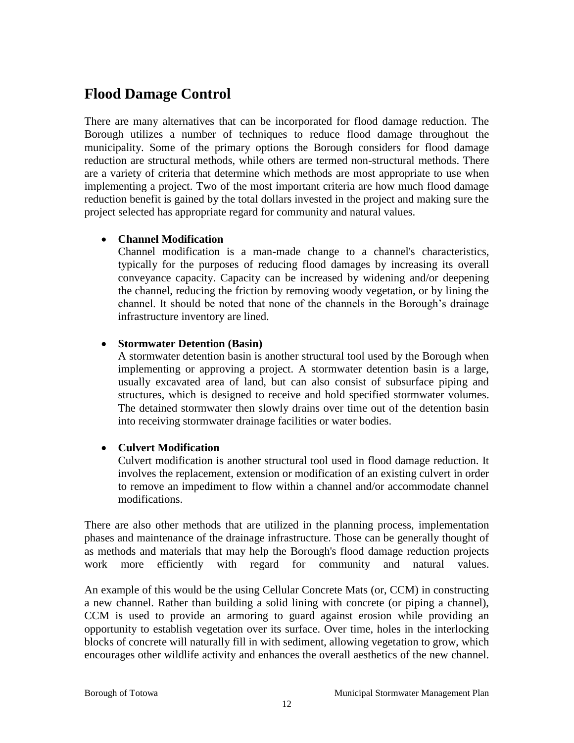### **Flood Damage Control**

There are many alternatives that can be incorporated for flood damage reduction. The Borough utilizes a number of techniques to reduce flood damage throughout the municipality. Some of the primary options the Borough considers for flood damage reduction are structural methods, while others are termed non-structural methods. There are a variety of criteria that determine which methods are most appropriate to use when implementing a project. Two of the most important criteria are how much flood damage reduction benefit is gained by the total dollars invested in the project and making sure the project selected has appropriate regard for community and natural values.

### **Channel Modification**

Channel modification is a man-made change to a channel's characteristics, typically for the purposes of reducing flood damages by increasing its overall conveyance capacity. Capacity can be increased by widening and/or deepening the channel, reducing the friction by removing woody vegetation, or by lining the channel. It should be noted that none of the channels in the Borough's drainage infrastructure inventory are lined.

### **Stormwater Detention (Basin)**

A stormwater detention basin is another structural tool used by the Borough when implementing or approving a project. A stormwater detention basin is a large, usually excavated area of land, but can also consist of subsurface piping and structures, which is designed to receive and hold specified stormwater volumes. The detained stormwater then slowly drains over time out of the detention basin into receiving stormwater drainage facilities or water bodies.

### **Culvert Modification**

Culvert modification is another structural tool used in flood damage reduction. It involves the replacement, extension or modification of an existing culvert in order to remove an impediment to flow within a channel and/or accommodate channel modifications.

There are also other methods that are utilized in the planning process, implementation phases and maintenance of the drainage infrastructure. Those can be generally thought of as methods and materials that may help the Borough's flood damage reduction projects work more efficiently with regard for community and natural values.

An example of this would be the using Cellular Concrete Mats (or, CCM) in constructing a new channel. Rather than building a solid lining with concrete (or piping a channel), CCM is used to provide an armoring to guard against erosion while providing an opportunity to establish vegetation over its surface. Over time, holes in the interlocking blocks of concrete will naturally fill in with sediment, allowing vegetation to grow, which encourages other wildlife activity and enhances the overall aesthetics of the new channel.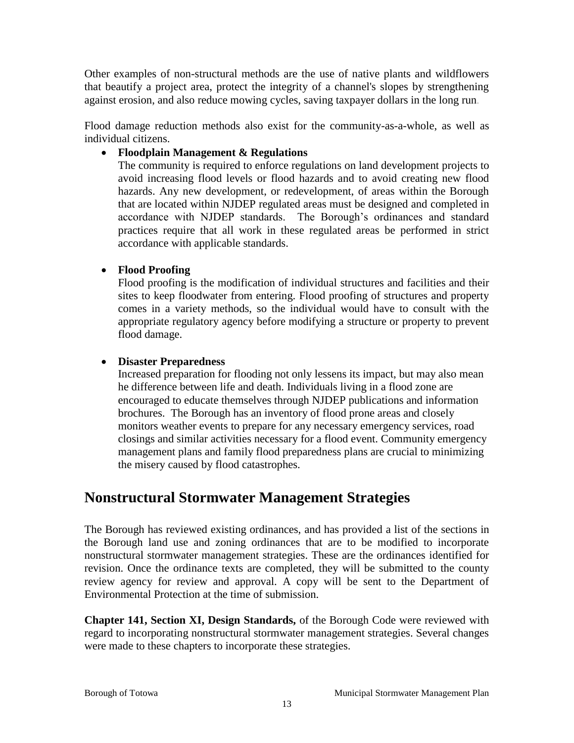Other examples of non-structural methods are the use of native plants and wildflowers that beautify a project area, protect the integrity of a channel's slopes by strengthening against erosion, and also reduce mowing cycles, saving taxpayer dollars in the long run.

Flood damage reduction methods also exist for the community-as-a-whole, as well as individual citizens.

### **Floodplain Management & Regulations**

The community is required to enforce regulations on land development projects to avoid increasing flood levels or flood hazards and to avoid creating new flood hazards. Any new development, or redevelopment, of areas within the Borough that are located within NJDEP regulated areas must be designed and completed in accordance with NJDEP standards. The Borough's ordinances and standard practices require that all work in these regulated areas be performed in strict accordance with applicable standards.

### **Flood Proofing**

Flood proofing is the modification of individual structures and facilities and their sites to keep floodwater from entering. Flood proofing of structures and property comes in a variety methods, so the individual would have to consult with the appropriate regulatory agency before modifying a structure or property to prevent flood damage.

### **Disaster Preparedness**

Increased preparation for flooding not only lessens its impact, but may also mean he difference between life and death. Individuals living in a flood zone are encouraged to educate themselves through NJDEP publications and information brochures. The Borough has an inventory of flood prone areas and closely monitors weather events to prepare for any necessary emergency services, road closings and similar activities necessary for a flood event. Community emergency management plans and family flood preparedness plans are crucial to minimizing the misery caused by flood catastrophes.

### **Nonstructural Stormwater Management Strategies**

The Borough has reviewed existing ordinances, and has provided a list of the sections in the Borough land use and zoning ordinances that are to be modified to incorporate nonstructural stormwater management strategies. These are the ordinances identified for revision. Once the ordinance texts are completed, they will be submitted to the county review agency for review and approval. A copy will be sent to the Department of Environmental Protection at the time of submission.

**Chapter 141, Section XI, Design Standards,** of the Borough Code were reviewed with regard to incorporating nonstructural stormwater management strategies. Several changes were made to these chapters to incorporate these strategies.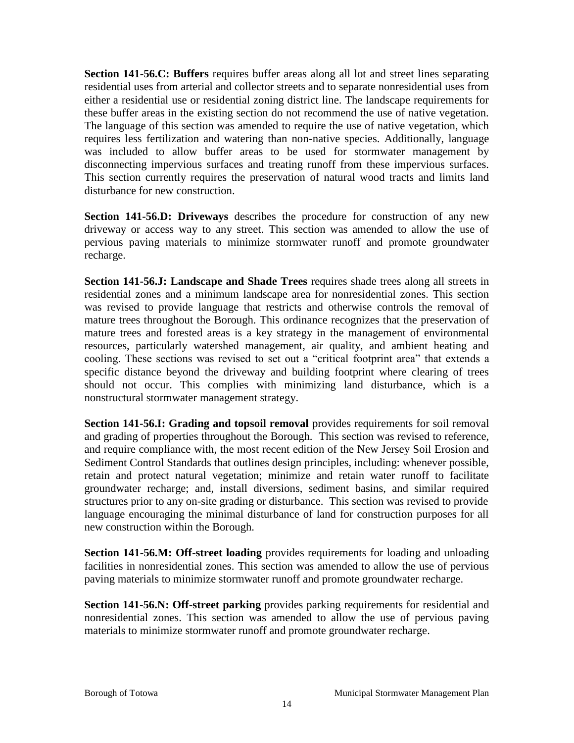**Section 141-56.C: Buffers** requires buffer areas along all lot and street lines separating residential uses from arterial and collector streets and to separate nonresidential uses from either a residential use or residential zoning district line. The landscape requirements for these buffer areas in the existing section do not recommend the use of native vegetation. The language of this section was amended to require the use of native vegetation, which requires less fertilization and watering than non-native species. Additionally, language was included to allow buffer areas to be used for stormwater management by disconnecting impervious surfaces and treating runoff from these impervious surfaces. This section currently requires the preservation of natural wood tracts and limits land disturbance for new construction.

**Section 141-56.D: Driveways** describes the procedure for construction of any new driveway or access way to any street. This section was amended to allow the use of pervious paving materials to minimize stormwater runoff and promote groundwater recharge.

**Section 141-56.J: Landscape and Shade Trees** requires shade trees along all streets in residential zones and a minimum landscape area for nonresidential zones. This section was revised to provide language that restricts and otherwise controls the removal of mature trees throughout the Borough. This ordinance recognizes that the preservation of mature trees and forested areas is a key strategy in the management of environmental resources, particularly watershed management, air quality, and ambient heating and cooling. These sections was revised to set out a "critical footprint area" that extends a specific distance beyond the driveway and building footprint where clearing of trees should not occur. This complies with minimizing land disturbance, which is a nonstructural stormwater management strategy.

**Section 141-56.I: Grading and topsoil removal provides requirements for soil removal** and grading of properties throughout the Borough. This section was revised to reference, and require compliance with, the most recent edition of the New Jersey Soil Erosion and Sediment Control Standards that outlines design principles, including: whenever possible, retain and protect natural vegetation; minimize and retain water runoff to facilitate groundwater recharge; and, install diversions, sediment basins, and similar required structures prior to any on-site grading or disturbance. This section was revised to provide language encouraging the minimal disturbance of land for construction purposes for all new construction within the Borough.

**Section 141-56.M: Off-street loading** provides requirements for loading and unloading facilities in nonresidential zones. This section was amended to allow the use of pervious paving materials to minimize stormwater runoff and promote groundwater recharge.

**Section 141-56.N: Off-street parking** provides parking requirements for residential and nonresidential zones. This section was amended to allow the use of pervious paving materials to minimize stormwater runoff and promote groundwater recharge.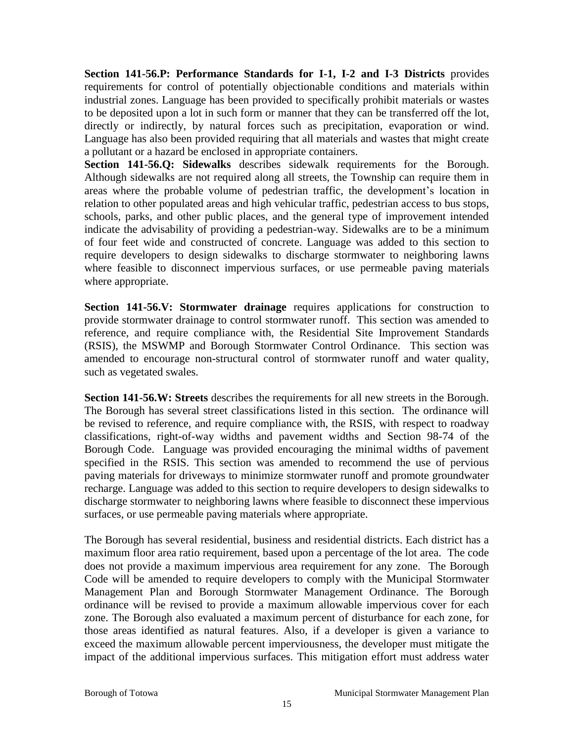**Section 141-56.P: Performance Standards for I-1, I-2 and I-3 Districts** provides requirements for control of potentially objectionable conditions and materials within industrial zones. Language has been provided to specifically prohibit materials or wastes to be deposited upon a lot in such form or manner that they can be transferred off the lot, directly or indirectly, by natural forces such as precipitation, evaporation or wind. Language has also been provided requiring that all materials and wastes that might create a pollutant or a hazard be enclosed in appropriate containers.

**Section 141-56.Q: Sidewalks** describes sidewalk requirements for the Borough. Although sidewalks are not required along all streets, the Township can require them in areas where the probable volume of pedestrian traffic, the development's location in relation to other populated areas and high vehicular traffic, pedestrian access to bus stops, schools, parks, and other public places, and the general type of improvement intended indicate the advisability of providing a pedestrian-way. Sidewalks are to be a minimum of four feet wide and constructed of concrete. Language was added to this section to require developers to design sidewalks to discharge stormwater to neighboring lawns where feasible to disconnect impervious surfaces, or use permeable paving materials where appropriate.

**Section 141-56.V: Stormwater drainage** requires applications for construction to provide stormwater drainage to control stormwater runoff. This section was amended to reference, and require compliance with, the Residential Site Improvement Standards (RSIS), the MSWMP and Borough Stormwater Control Ordinance. This section was amended to encourage non-structural control of stormwater runoff and water quality, such as vegetated swales.

**Section 141-56.W: Streets** describes the requirements for all new streets in the Borough. The Borough has several street classifications listed in this section. The ordinance will be revised to reference, and require compliance with, the RSIS, with respect to roadway classifications, right-of-way widths and pavement widths and Section 98-74 of the Borough Code. Language was provided encouraging the minimal widths of pavement specified in the RSIS. This section was amended to recommend the use of pervious paving materials for driveways to minimize stormwater runoff and promote groundwater recharge. Language was added to this section to require developers to design sidewalks to discharge stormwater to neighboring lawns where feasible to disconnect these impervious surfaces, or use permeable paving materials where appropriate.

The Borough has several residential, business and residential districts. Each district has a maximum floor area ratio requirement, based upon a percentage of the lot area. The code does not provide a maximum impervious area requirement for any zone. The Borough Code will be amended to require developers to comply with the Municipal Stormwater Management Plan and Borough Stormwater Management Ordinance. The Borough ordinance will be revised to provide a maximum allowable impervious cover for each zone. The Borough also evaluated a maximum percent of disturbance for each zone, for those areas identified as natural features. Also, if a developer is given a variance to exceed the maximum allowable percent imperviousness, the developer must mitigate the impact of the additional impervious surfaces. This mitigation effort must address water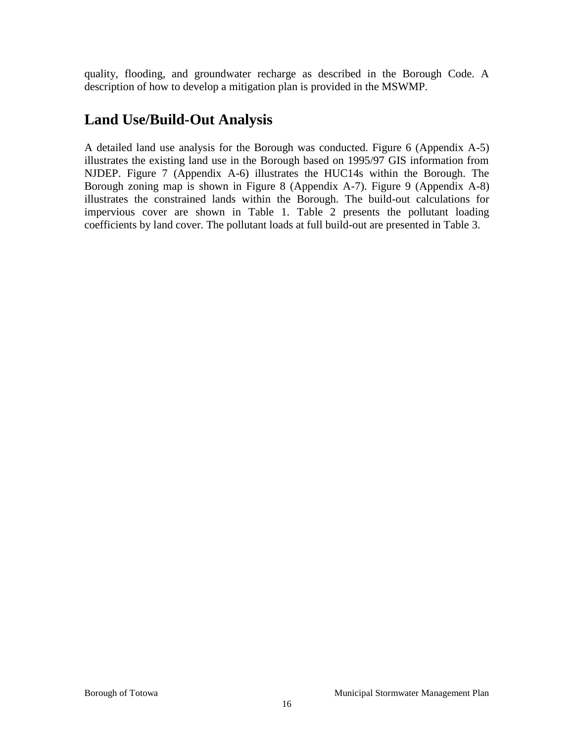quality, flooding, and groundwater recharge as described in the Borough Code. A description of how to develop a mitigation plan is provided in the MSWMP.

### **Land Use/Build-Out Analysis**

A detailed land use analysis for the Borough was conducted. Figure 6 (Appendix A-5) illustrates the existing land use in the Borough based on 1995/97 GIS information from NJDEP. Figure 7 (Appendix A-6) illustrates the HUC14s within the Borough. The Borough zoning map is shown in Figure 8 (Appendix A-7). Figure 9 (Appendix A-8) illustrates the constrained lands within the Borough. The build-out calculations for impervious cover are shown in Table 1. Table 2 presents the pollutant loading coefficients by land cover. The pollutant loads at full build-out are presented in Table 3.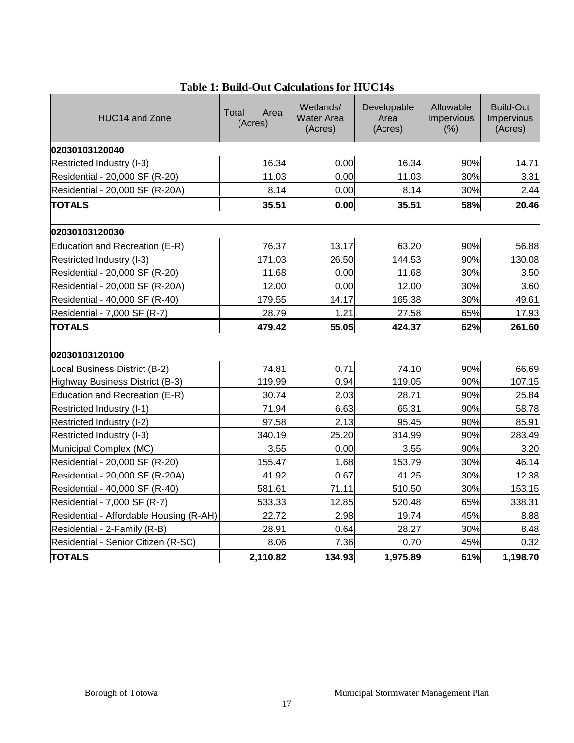| HUC14 and Zone                          | Total<br>Area<br>(Acres) | Wetlands/<br><b>Water Area</b><br>(Acres) | Developable<br>Area<br>(Acres) | Allowable<br>Impervious<br>(% ) | Build-Out<br>Impervious<br>(Acres) |
|-----------------------------------------|--------------------------|-------------------------------------------|--------------------------------|---------------------------------|------------------------------------|
| 02030103120040                          |                          |                                           |                                |                                 |                                    |
| Restricted Industry (I-3)               | 16.34                    | 0.00                                      | 16.34                          | 90%                             | 14.71                              |
| Residential - 20,000 SF (R-20)          | 11.03                    | 0.00                                      | 11.03                          | 30%                             | 3.31                               |
| Residential - 20,000 SF (R-20A)         | 8.14                     | 0.00                                      | 8.14                           | 30%                             | 2.44                               |
| <b>TOTALS</b>                           | 35.51                    | 0.00                                      | 35.51                          | 58%                             | 20.46                              |
| 102030103120030                         |                          |                                           |                                |                                 |                                    |
| Education and Recreation (E-R)          | 76.37                    | 13.17                                     | 63.20                          | 90%                             | 56.88                              |
| Restricted Industry (I-3)               | 171.03                   | 26.50                                     | 144.53                         | 90%                             | 130.08                             |
| Residential - 20,000 SF (R-20)          | 11.68                    | 0.00                                      | 11.68                          | 30%                             | 3.50                               |
| Residential - 20,000 SF (R-20A)         | 12.00                    | 0.00                                      | 12.00                          | 30%                             | 3.60                               |
| Residential - 40,000 SF (R-40)          | 179.55                   | 14.17                                     | 165.38                         | 30%                             | 49.61                              |
| Residential - 7,000 SF (R-7)            | 28.79                    | 1.21                                      | 27.58                          | 65%                             | 17.93                              |
| <b>TOTALS</b>                           | 479.42                   | 55.05                                     | 424.37                         | 62%                             | 261.60                             |
| 02030103120100                          |                          |                                           |                                |                                 |                                    |
| Local Business District (B-2)           | 74.81                    | 0.71                                      | 74.10                          | 90%                             | 66.69                              |
| Highway Business District (B-3)         | 119.99                   | 0.94                                      | 119.05                         | 90%                             | 107.15                             |
| Education and Recreation (E-R)          | 30.74                    | 2.03                                      | 28.71                          | 90%                             | 25.84                              |
| Restricted Industry (I-1)               | 71.94                    | 6.63                                      | 65.31                          | 90%                             | 58.78                              |
| Restricted Industry (I-2)               | 97.58                    | 2.13                                      | 95.45                          | 90%                             | 85.91                              |
| Restricted Industry (I-3)               | 340.19                   | 25.20                                     | 314.99                         | 90%                             | 283.49                             |
| Municipal Complex (MC)                  | 3.55                     | 0.00                                      | 3.55                           | 90%                             | 3.20                               |
| Residential - 20,000 SF (R-20)          | 155.47                   | 1.68                                      | 153.79                         | 30%                             | 46.14                              |
| Residential - 20,000 SF (R-20A)         | 41.92                    | 0.67                                      | 41.25                          | 30%                             | 12.38                              |
| Residential - 40,000 SF (R-40)          | 581.61                   | 71.11                                     | 510.50                         | 30%                             | 153.15                             |
| Residential - 7,000 SF (R-7)            | 533.33                   | 12.85                                     | 520.48                         | 65%                             | 338.31                             |
| Residential - Affordable Housing (R-AH) | 22.72                    | 2.98                                      | 19.74                          | 45%                             | 8.88                               |
| Residential - 2-Family (R-B)            | 28.91                    | 0.64                                      | 28.27                          | 30%                             | 8.48                               |
| Residential - Senior Citizen (R-SC)     | 8.06                     | 7.36                                      | 0.70                           | 45%                             | 0.32                               |
| <b>TOTALS</b>                           | 2,110.82                 | 134.93                                    | 1,975.89                       | 61%                             | 1,198.70                           |

**Table 1: Build-Out Calculations for HUC14s**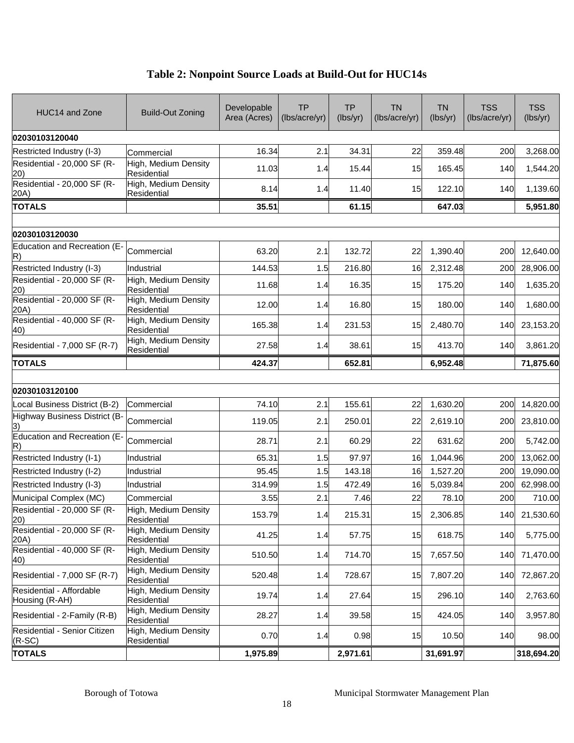| HUC14 and Zone                             | Build-Out Zoning                           | Developable<br>Area (Acres) | <b>TP</b><br>(lbs/acre/yr) | <b>TP</b><br>(lbs/yr) | <b>TN</b><br>(lbs/acre/yr) | <b>TN</b><br>(lbs/yr) | <b>TSS</b><br>(lbs/acre/yr) | <b>TSS</b><br>(lbs/yr) |
|--------------------------------------------|--------------------------------------------|-----------------------------|----------------------------|-----------------------|----------------------------|-----------------------|-----------------------------|------------------------|
| 02030103120040                             |                                            |                             |                            |                       |                            |                       |                             |                        |
| Restricted Industry (I-3)                  | Commercial                                 | 16.34                       | 2.1                        | 34.31                 | 22                         | 359.48                | 200                         | 3,268.00               |
| Residential - 20,000 SF (R-<br>20)         | High, Medium Density<br><b>Residential</b> | 11.03                       | 1.4                        | 15.44                 | 15                         | 165.45                | 140                         | 1,544.20               |
| Residential - 20,000 SF (R-<br>20A)        | High, Medium Density<br>Residential        | 8.14                        | 1.4                        | 11.40                 | 15                         | 122.10                | 140                         | 1,139.60               |
| <b>TOTALS</b>                              |                                            | 35.51                       |                            | 61.15                 |                            | 647.03                |                             | 5,951.80               |
|                                            |                                            |                             |                            |                       |                            |                       |                             |                        |
| 02030103120030                             |                                            |                             |                            |                       |                            |                       |                             |                        |
| <b>Education and Recreation (E-</b><br>R)  | Commercial                                 | 63.20                       | 2.1                        | 132.72                | 22                         | 1,390.40              | 200                         | 12,640.00              |
| Restricted Industry (I-3)                  | Industrial                                 | 144.53                      | 1.5                        | 216.80                | 16                         | 2,312.48              | 200                         | 28,906.00              |
| Residential - 20,000 SF (R-<br>20)         | High, Medium Density<br>Residential        | 11.68                       | 1.4                        | 16.35                 | 15                         | 175.20                | 140                         | 1,635.20               |
| Residential - 20,000 SF (R-<br>20A)        | High, Medium Density<br>Residential        | 12.00                       | 1.4                        | 16.80                 | 15                         | 180.00                | 140                         | 1,680.00               |
| Residential - 40,000 SF (R-<br>40)         | High, Medium Density<br>Residential        | 165.38                      | 1.4                        | 231.53                | 15                         | 2,480.70              | 140                         | 23,153.20              |
| Residential - 7,000 SF (R-7)               | High, Medium Density<br>Residential        | 27.58                       | 1.4                        | 38.61                 | 15                         | 413.70                | 140                         | 3,861.20               |
| <b>TOTALS</b>                              |                                            | 424.37                      |                            | 652.81                |                            | 6,952.48              |                             | 71,875.60              |
|                                            |                                            |                             |                            |                       |                            |                       |                             |                        |
| 02030103120100                             |                                            |                             |                            |                       |                            |                       |                             |                        |
| Local Business District (B-2)              | Commercial                                 | 74.10                       | 2.1                        | 155.61                | 22                         | 1,630.20              | 200                         | 14,820.00              |
| <b>Highway Business District (B-</b>       | Commercial                                 | 119.05                      | 2.1                        | 250.01                | 22                         | 2,619.10              | 200                         | 23,810.00              |
| Education and Recreation (E-<br>R)         | Commercial                                 | 28.71                       | 2.1                        | 60.29                 | 22                         | 631.62                | 200                         | 5,742.00               |
| Restricted Industry (I-1)                  | Industrial                                 | 65.31                       | 1.5                        | 97.97                 | 16                         | 1,044.96              | 200                         | 13,062.00              |
| Restricted Industry (I-2)                  | Industrial                                 | 95.45                       | 1.5                        | 143.18                | 16                         | 1,527.20              | 200                         | 19,090.00              |
| Restricted Industry (I-3)                  | Industrial                                 | 314.99                      | 1.5                        | 472.49                | 16                         | 5,039.84              | 200                         | 62,998.00              |
| Municipal Complex (MC)                     | Commercial                                 | 3.55                        | 2.1                        | 7.46                  | 22                         | 78.10                 | 200                         | 710.00                 |
| Residential - 20,000 SF (R-<br>20)         | High, Medium Density<br>Residential        | 153.79                      | 1.4                        | 215.31                | 15                         | 2,306.85              | 140                         | 21,530.60              |
| Residential - 20,000 SF (R-<br>20A)        | High, Medium Density<br>Residential        | 41.25                       | 1.4                        | 57.75                 | 15                         | 618.75                | 140                         | 5,775.00               |
| Residential - 40,000 SF (R-<br>40)         | High, Medium Density<br>Residential        | 510.50                      | 1.4                        | 714.70                | 15                         | 7,657.50              | 140                         | 71,470.00              |
| Residential - 7,000 SF (R-7)               | High, Medium Density<br>Residential        | 520.48                      | 1.4                        | 728.67                | 15                         | 7,807.20              | 140                         | 72,867.20              |
| Residential - Affordable<br>Housing (R-AH) | High, Medium Density<br>Residential        | 19.74                       | 1.4                        | 27.64                 | 15                         | 296.10                | 140                         | 2,763.60               |
| Residential - 2-Family (R-B)               | High, Medium Density<br>Residential        | 28.27                       | 1.4                        | 39.58                 | 15                         | 424.05                | 140                         | 3,957.80               |
| Residential - Senior Citizen<br>$(R-SC)$   | High, Medium Density<br>Residential        | 0.70                        | 1.4                        | 0.98                  | 15                         | 10.50                 | 140                         | 98.00                  |
| <b>TOTALS</b>                              |                                            | 1,975.89                    |                            | 2,971.61              |                            | 31,691.97             |                             | 318,694.20             |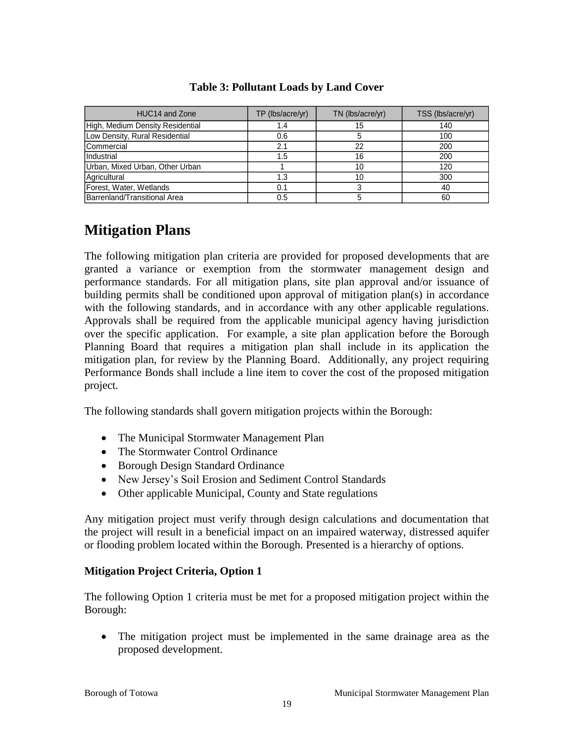| HUC14 and Zone                   | TP (lbs/acre/yr) | TN (lbs/acre/yr) | TSS (lbs/acre/yr) |
|----------------------------------|------------------|------------------|-------------------|
| High, Medium Density Residential | 1.4              | 15               | 140               |
| Low Density, Rural Residential   | 0.6              |                  | 100               |
| <b>Commercial</b>                | 2.1              | 22               | 200               |
| Industrial                       | 1.5              | 16               | 200               |
| Urban, Mixed Urban, Other Urban  |                  | 10               | 120               |
| Agricultural                     | 1.3              | 10               | 300               |
| Forest, Water, Wetlands          | 0.1              |                  | 40                |
| Barrenland/Transitional Area     | 0.5              |                  | 60                |

### **Table 3: Pollutant Loads by Land Cover**

### **Mitigation Plans**

The following mitigation plan criteria are provided for proposed developments that are granted a variance or exemption from the stormwater management design and performance standards. For all mitigation plans, site plan approval and/or issuance of building permits shall be conditioned upon approval of mitigation plan(s) in accordance with the following standards, and in accordance with any other applicable regulations. Approvals shall be required from the applicable municipal agency having jurisdiction over the specific application. For example, a site plan application before the Borough Planning Board that requires a mitigation plan shall include in its application the mitigation plan, for review by the Planning Board. Additionally, any project requiring Performance Bonds shall include a line item to cover the cost of the proposed mitigation project.

The following standards shall govern mitigation projects within the Borough:

- The Municipal Stormwater Management Plan
- The Stormwater Control Ordinance
- Borough Design Standard Ordinance
- New Jersey's Soil Erosion and Sediment Control Standards
- Other applicable Municipal, County and State regulations

Any mitigation project must verify through design calculations and documentation that the project will result in a beneficial impact on an impaired waterway, distressed aquifer or flooding problem located within the Borough. Presented is a hierarchy of options.

### **Mitigation Project Criteria, Option 1**

The following Option 1 criteria must be met for a proposed mitigation project within the Borough:

 The mitigation project must be implemented in the same drainage area as the proposed development.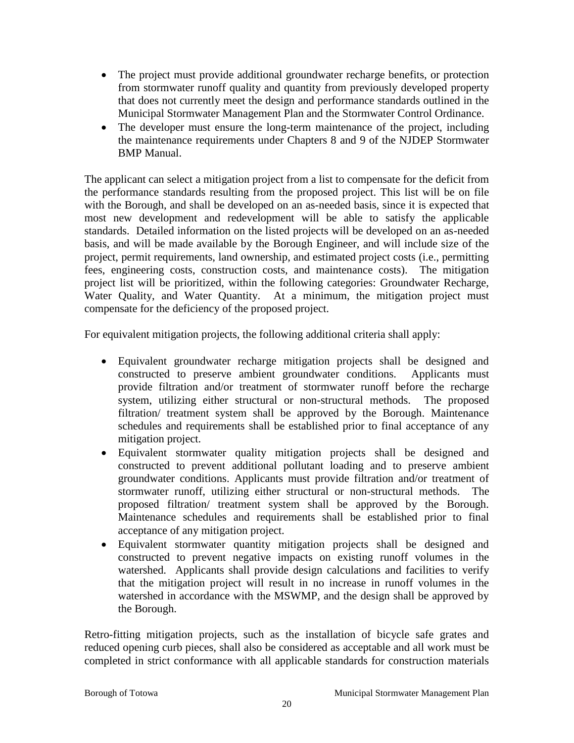- The project must provide additional groundwater recharge benefits, or protection from stormwater runoff quality and quantity from previously developed property that does not currently meet the design and performance standards outlined in the Municipal Stormwater Management Plan and the Stormwater Control Ordinance.
- The developer must ensure the long-term maintenance of the project, including the maintenance requirements under Chapters 8 and 9 of the NJDEP Stormwater BMP Manual.

The applicant can select a mitigation project from a list to compensate for the deficit from the performance standards resulting from the proposed project. This list will be on file with the Borough, and shall be developed on an as-needed basis, since it is expected that most new development and redevelopment will be able to satisfy the applicable standards. Detailed information on the listed projects will be developed on an as-needed basis, and will be made available by the Borough Engineer, and will include size of the project, permit requirements, land ownership, and estimated project costs (i.e., permitting fees, engineering costs, construction costs, and maintenance costs). The mitigation project list will be prioritized, within the following categories: Groundwater Recharge, Water Quality, and Water Quantity. At a minimum, the mitigation project must compensate for the deficiency of the proposed project.

For equivalent mitigation projects, the following additional criteria shall apply:

- Equivalent groundwater recharge mitigation projects shall be designed and constructed to preserve ambient groundwater conditions. Applicants must provide filtration and/or treatment of stormwater runoff before the recharge system, utilizing either structural or non-structural methods. The proposed filtration/ treatment system shall be approved by the Borough. Maintenance schedules and requirements shall be established prior to final acceptance of any mitigation project.
- Equivalent stormwater quality mitigation projects shall be designed and constructed to prevent additional pollutant loading and to preserve ambient groundwater conditions. Applicants must provide filtration and/or treatment of stormwater runoff, utilizing either structural or non-structural methods. The proposed filtration/ treatment system shall be approved by the Borough. Maintenance schedules and requirements shall be established prior to final acceptance of any mitigation project.
- Equivalent stormwater quantity mitigation projects shall be designed and constructed to prevent negative impacts on existing runoff volumes in the watershed. Applicants shall provide design calculations and facilities to verify that the mitigation project will result in no increase in runoff volumes in the watershed in accordance with the MSWMP, and the design shall be approved by the Borough.

Retro-fitting mitigation projects, such as the installation of bicycle safe grates and reduced opening curb pieces, shall also be considered as acceptable and all work must be completed in strict conformance with all applicable standards for construction materials